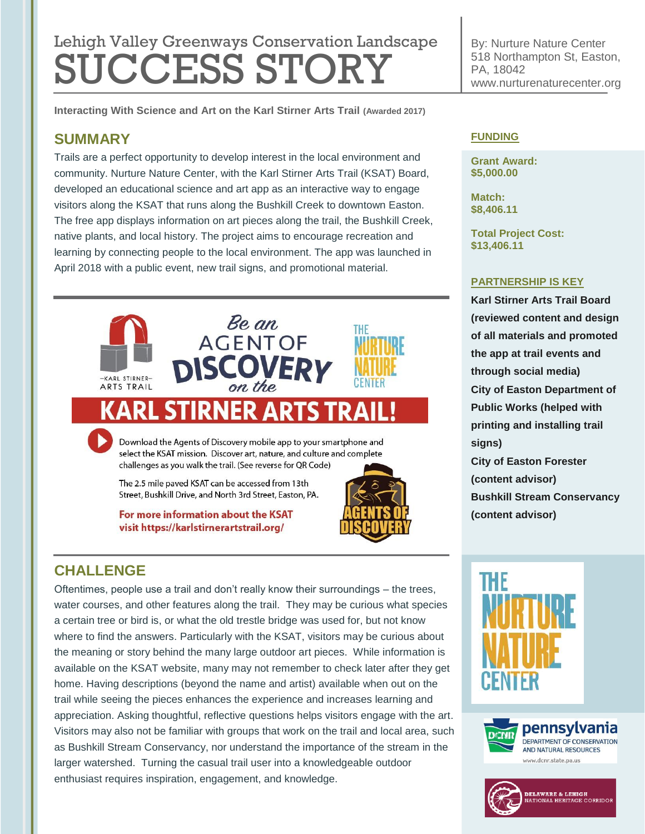# Lehigh Valley Greenways Conservation Landscape **SUCCESS STORY**

**Interacting With Science and Art on the Karl Stirner Arts Trail (Awarded 2017)**

# **SUMMARY**

Trails are a perfect opportunity to develop interest in the local environment and community. Nurture Nature Center, with the Karl Stirner Arts Trail (KSAT) Board, developed an educational science and art app as an interactive way to engage visitors along the KSAT that runs along the Bushkill Creek to downtown Easton. The free app displays information on art pieces along the trail, the Bushkill Creek, native plants, and local history. The project aims to encourage recreation and learning by connecting people to the local environment. The app was launched in April 2018 with a public event, new trail signs, and promotional material.





Download the Agents of Discovery mobile app to your smartphone and select the KSAT mission. Discover art, nature, and culture and complete challenges as you walk the trail. (See reverse for QR Code)

The 2.5 mile paved KSAT can be accessed from 13th Street, Bushkill Drive, and North 3rd Street, Easton, PA.

For more information about the KSAT visit https://karlstirnerartstrail.org/



#### By: Nurture Nature Center 518 Northampton St, Easton, PA, 18042 www.nurturenaturecenter.org

### **FUNDING**

**Grant Award: \$5,000.00**

**Match: \$8,406.11**

**Total Project Cost: \$13,406.11**

#### **PARTNERSHIP IS KEY**

**Karl Stirner Arts Trail Board (reviewed content and design of all materials and promoted the app at trail events and through social media) City of Easton Department of Public Works (helped with printing and installing trail signs) City of Easton Forester (content advisor) Bushkill Stream Conservancy (content advisor)**

# **CHALLENGE**

Oftentimes, people use a trail and don't really know their surroundings – the trees, water courses, and other features along the trail. They may be curious what species a certain tree or bird is, or what the old trestle bridge was used for, but not know where to find the answers. Particularly with the KSAT, visitors may be curious about the meaning or story behind the many large outdoor art pieces. While information is available on the KSAT website, many may not remember to check later after they get home. Having descriptions (beyond the name and artist) available when out on the trail while seeing the pieces enhances the experience and increases learning and appreciation. Asking thoughtful, reflective questions helps visitors engage with the art. Visitors may also not be familiar with groups that work on the trail and local area, such as Bushkill Stream Conservancy, nor understand the importance of the stream in the larger watershed. Turning the casual trail user into a knowledgeable outdoor enthusiast requires inspiration, engagement, and knowledge.